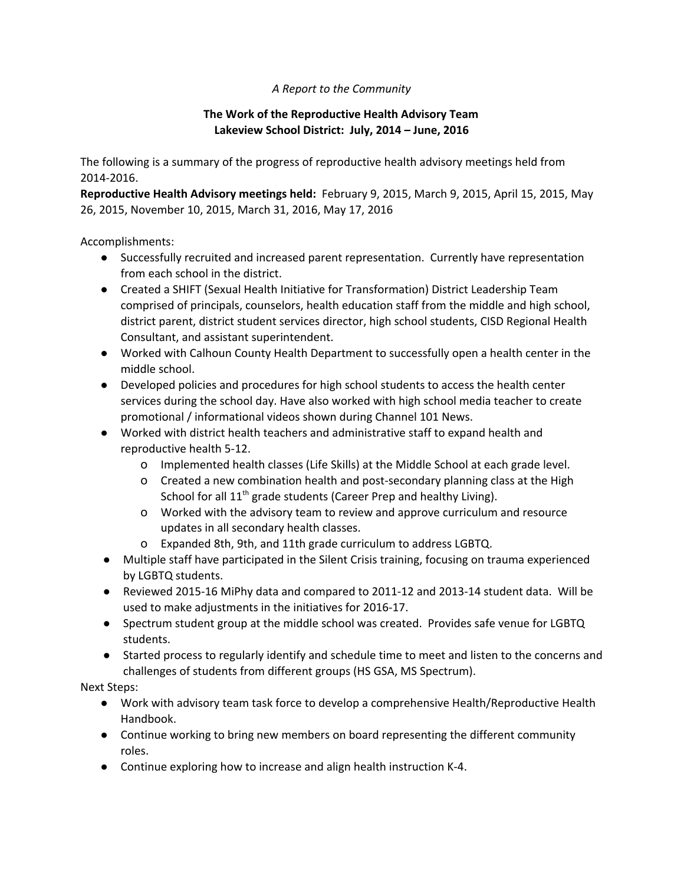## *A Report to the Community*

## **The Work of the Reproductive Health Advisory Team Lakeview School District: July, 2014 – June, 2016**

The following is a summary of the progress of reproductive health advisory meetings held from 2014-2016.

**Reproductive Health Advisory meetings held:** February 9, 2015, March 9, 2015, April 15, 2015, May 26, 2015, November 10, 2015, March 31, 2016, May 17, 2016

Accomplishments:

- Successfully recruited and increased parent representation. Currently have representation from each school in the district.
- Created a SHIFT (Sexual Health Initiative for Transformation) District Leadership Team comprised of principals, counselors, health education staff from the middle and high school, district parent, district student services director, high school students, CISD Regional Health Consultant, and assistant superintendent.
- Worked with Calhoun County Health Department to successfully open a health center in the middle school.
- Developed policies and procedures for high school students to access the health center services during the school day. Have also worked with high school media teacher to create promotional / informational videos shown during Channel 101 News.
- Worked with district health teachers and administrative staff to expand health and reproductive health 5-12.
	- o Implemented health classes (Life Skills) at the Middle School at each grade level.
	- o Created a new combination health and post-secondary planning class at the High School for all 11<sup>th</sup> grade students (Career Prep and healthy Living).
	- o Worked with the advisory team to review and approve curriculum and resource updates in all secondary health classes.
	- o Expanded 8th, 9th, and 11th grade curriculum to address LGBTQ.
- Multiple staff have participated in the Silent Crisis training, focusing on trauma experienced by LGBTQ students.
- Reviewed 2015-16 MiPhy data and compared to 2011-12 and 2013-14 student data. Will be used to make adjustments in the initiatives for 2016-17.
- Spectrum student group at the middle school was created. Provides safe venue for LGBTQ students.
- Started process to regularly identify and schedule time to meet and listen to the concerns and challenges of students from different groups (HS GSA, MS Spectrum).

Next Steps:

- Work with advisory team task force to develop a comprehensive Health/Reproductive Health Handbook.
- Continue working to bring new members on board representing the different community roles.
- Continue exploring how to increase and align health instruction K-4.